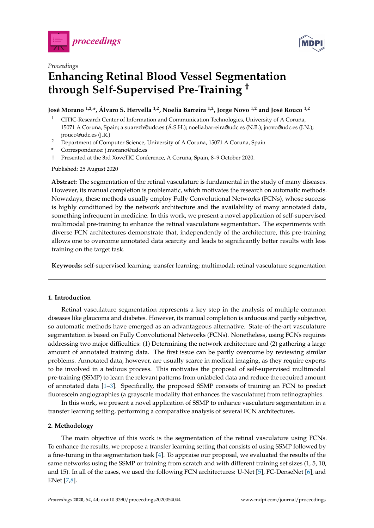



# *Proceedings* **Enhancing Retinal Blood Vessel Segmentation through Self-Supervised Pre-Training †**

**José Morano 1,2,\*, Álvaro S. Hervella 1,2, Noelia Barreira 1,2, Jorge Novo 1,2 and José Rouco 1,2**

- <sup>1</sup> CITIC-Research Center of Information and Communication Technologies, University of A Coruña, 15071 A Coruña, Spain; a.suarezh@udc.es (Á.S.H.); noelia.barreira@udc.es (N.B.); jnovo@udc.es (J.N.); jrouco@udc.es (J.R.)
- <sup>2</sup> Department of Computer Science, University of A Coruña, 15071 A Coruña, Spain
- **\*** Correspondence: j.morano@udc.es
- † Presented at the 3rd XoveTIC Conference, A Coruña, Spain, 8–9 October 2020.

Published: 25 August 2020

**Abstract:** The segmentation of the retinal vasculature is fundamental in the study of many diseases. However, its manual completion is problematic, which motivates the research on automatic methods. Nowadays, these methods usually employ Fully Convolutional Networks (FCNs), whose success is highly conditioned by the network architecture and the availability of many annotated data, something infrequent in medicine. In this work, we present a novel application of self-supervised multimodal pre-training to enhance the retinal vasculature segmentation. The experiments with diverse FCN architectures demonstrate that, independently of the architecture, this pre-training allows one to overcome annotated data scarcity and leads to significantly better results with less training on the target task.

**Keywords:** self-supervised learning; transfer learning; multimodal; retinal vasculature segmentation

## **1. Introduction**

Retinal vasculature segmentation represents a key step in the analysis of multiple common diseases like glaucoma and diabetes. However, its manual completion is arduous and partly subjective, so automatic methods have emerged as an advantageous alternative. State-of-the-art vasculature segmentation is based on Fully Convolutional Networks (FCNs). Nonetheless, using FCNs requires addressing two major difficulties: (1) Determining the network architecture and (2) gathering a large amount of annotated training data. The first issue can be partly overcome by reviewing similar problems. Annotated data, however, are usually scarce in medical imaging, as they require experts to be involved in a tedious process. This motivates the proposal of self-supervised multimodal pre-training (SSMP) to learn the relevant patterns from unlabeled data and reduce the required amount of annotated data [\[1–](#page-2-0)[3\]](#page-2-1). Specifically, the proposed SSMP consists of training an FCN to predict fluorescein angiographies (a grayscale modality that enhances the vasculature) from retinographies.

In this work, we present a novel application of SSMP to enhance vasculature segmentation in a transfer learning setting, performing a comparative analysis of several FCN architectures.

#### **2. Methodology**

The main objective of this work is the segmentation of the retinal vasculature using FCNs. To enhance the results, we propose a transfer learning setting that consists of using SSMP followed by a fine-tuning in the segmentation task [\[4\]](#page-2-2). To appraise our proposal, we evaluated the results of the same networks using the SSMP or training from scratch and with different training set sizes (1, 5, 10, and 15). In all of the cases, we used the following FCN architectures: U-Net [\[5\]](#page-2-3), FC-DenseNet [\[6\]](#page-2-4), and ENet [\[7,](#page-2-5)[8\]](#page-2-6).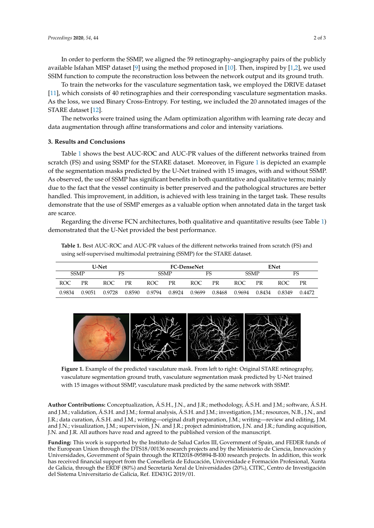In order to perform the SSMP, we aligned the 59 retinography–angiography pairs of the publicly available Isfahan MISP dataset [\[9\]](#page-2-7) using the method proposed in [\[10\]](#page-2-8). Then, inspired by [\[1,](#page-2-0)[2\]](#page-2-9), we used SSIM function to compute the reconstruction loss between the network output and its ground truth.

To train the networks for the vasculature segmentation task, we employed the DRIVE dataset [\[11\]](#page-2-10), which consists of 40 retinographies and their corresponding vasculature segmentation masks. As the loss, we used Binary Cross-Entropy. For testing, we included the 20 annotated images of the STARE dataset [\[12\]](#page-2-11).

The networks were trained using the Adam optimization algorithm with learning rate decay and data augmentation through affine transformations and color and intensity variations.

#### **3. Results and Conclusions**

Table [1](#page-1-0) shows the best AUC-ROC and AUC-PR values of the different networks trained from scratch (FS) and using SSMP for the STARE dataset. Moreover, in Figure [1](#page-1-1) is depicted an example of the segmentation masks predicted by the U-Net trained with 15 images, with and without SSMP. As observed, the use of SSMP has significant benefits in both quantitative and qualitative terms; mainly due to the fact that the vessel continuity is better preserved and the pathological structures are better handled. This improvement, in addition, is achieved with less training in the target task. These results demonstrate that the use of SSMP emerges as a valuable option when annotated data in the target task are scarce.

Regarding the diverse FCN architectures, both qualitative and quantitative results (see Table [1\)](#page-1-0) demonstrated that the U-Net provided the best performance.

<span id="page-1-0"></span>**Table 1.** Best AUC-ROC and AUC-PR values of the different networks trained from scratch (FS) and using self-supervised multimodal pretraining (SSMP) for the STARE dataset.

| <b>U-Net</b> |        |        |        | <b>FC-DenseNet</b> |        |        |        | <b>ENet</b> |        |        |        |
|--------------|--------|--------|--------|--------------------|--------|--------|--------|-------------|--------|--------|--------|
| <b>SSMP</b>  |        | FS     |        | <b>SSMP</b>        |        | FS     |        | <b>SSMP</b> |        | FS     |        |
| ROC          | PR     | ROC.   | PR     | ROC.               | PR     | ROC    | PR     | ROC.        | PR     | ROC    | PR     |
| 0.9834       | 0.9051 | 0.9728 | 0.8590 | 0.9794             | 0.8924 | 0.9699 | 0.8468 | 0.9694      | 0.8434 | 0.8349 | 0.4472 |

<span id="page-1-1"></span>

**Figure 1.** Example of the predicted vasculature mask. From left to right: Original STARE retinography, vasculature segmentation ground truth, vasculature segmentation mask predicted by U-Net trained with 15 images without SSMP, vasculature mask predicted by the same network with SSMP.

**Author Contributions:** Conceptualization, Á.S.H., J.N., and J.R.; methodology, Á.S.H. and J.M.; software, Á.S.H. and J.M.; validation, Á.S.H. and J.M.; formal analysis, Á.S.H. and J.M.; investigation, J.M.; resources, N.B., J.N., and J.R.; data curation, Á.S.H. and J.M.; writing—original draft preparation, J.M.; writing—review and editing, J.M. and J.N.; visualization, J.M.; supervision, J.N. and J.R.; project administration, J.N. and J.R.; funding acquisition, J.N. and J.R. All authors have read and agreed to the published version of the manuscript.

**Funding:** This work is supported by the Instituto de Salud Carlos III, Government of Spain, and FEDER funds of the European Union through the DTS18/00136 research projects and by the Ministerio de Ciencia, Innovación y Universidades, Government of Spain through the RTI2018-095894-B-I00 research projects. In addition, this work has received financial support from the Consellería de Educación, Universidade e Formación Profesional, Xunta de Galicia, through the ERDF (80%) and Secretaría Xeral de Universidades (20%), CITIC, Centro de Investigación del Sistema Universitario de Galicia, Ref. ED431G 2019/01.